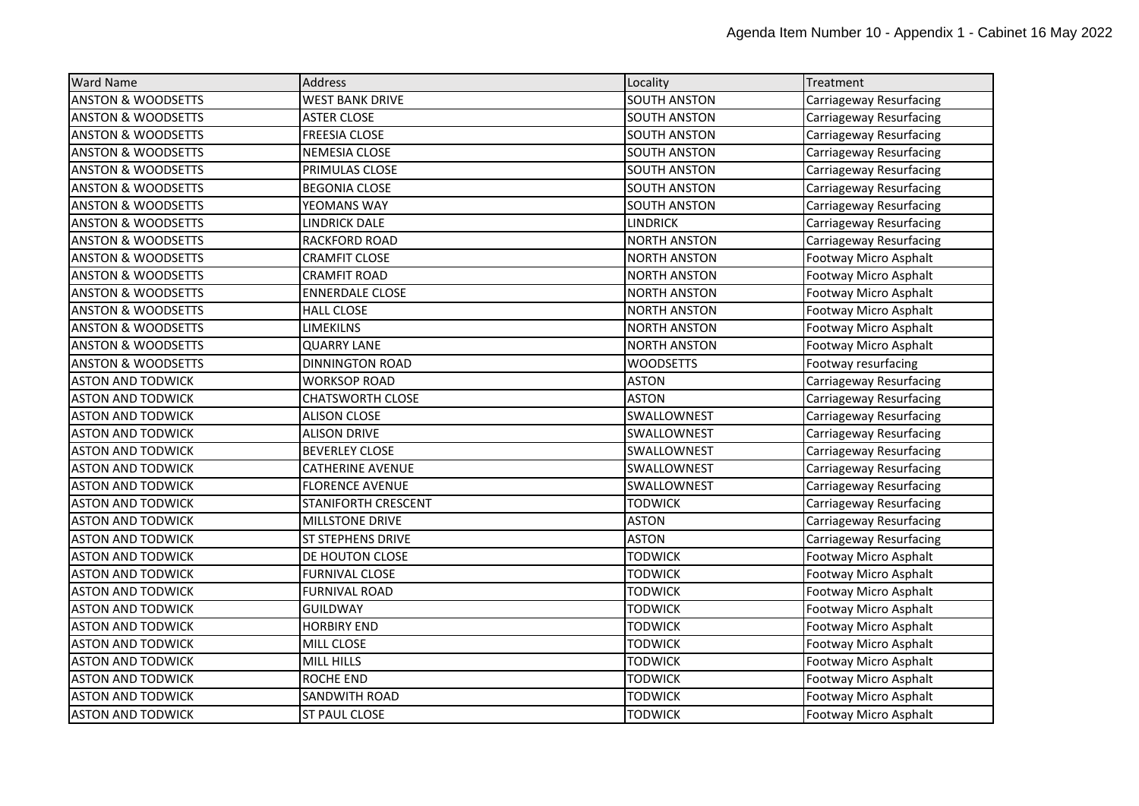| <b>Ward Name</b>              | <b>Address</b>             | Locality            | Treatment               |
|-------------------------------|----------------------------|---------------------|-------------------------|
| <b>ANSTON &amp; WOODSETTS</b> | <b>WEST BANK DRIVE</b>     | <b>SOUTH ANSTON</b> | Carriageway Resurfacing |
| <b>ANSTON &amp; WOODSETTS</b> | <b>ASTER CLOSE</b>         | <b>SOUTH ANSTON</b> | Carriageway Resurfacing |
| <b>ANSTON &amp; WOODSETTS</b> | <b>FREESIA CLOSE</b>       | <b>SOUTH ANSTON</b> | Carriageway Resurfacing |
| <b>ANSTON &amp; WOODSETTS</b> | NEMESIA CLOSE              | <b>SOUTH ANSTON</b> | Carriageway Resurfacing |
| <b>ANSTON &amp; WOODSETTS</b> | PRIMULAS CLOSE             | <b>SOUTH ANSTON</b> | Carriageway Resurfacing |
| <b>ANSTON &amp; WOODSETTS</b> | <b>BEGONIA CLOSE</b>       | <b>SOUTH ANSTON</b> | Carriageway Resurfacing |
| <b>ANSTON &amp; WOODSETTS</b> | YEOMANS WAY                | <b>SOUTH ANSTON</b> | Carriageway Resurfacing |
| <b>ANSTON &amp; WOODSETTS</b> | <b>LINDRICK DALE</b>       | <b>LINDRICK</b>     | Carriageway Resurfacing |
| <b>ANSTON &amp; WOODSETTS</b> | RACKFORD ROAD              | <b>NORTH ANSTON</b> | Carriageway Resurfacing |
| <b>ANSTON &amp; WOODSETTS</b> | <b>CRAMFIT CLOSE</b>       | <b>NORTH ANSTON</b> | Footway Micro Asphalt   |
| <b>ANSTON &amp; WOODSETTS</b> | <b>CRAMFIT ROAD</b>        | <b>NORTH ANSTON</b> | Footway Micro Asphalt   |
| <b>ANSTON &amp; WOODSETTS</b> | <b>ENNERDALE CLOSE</b>     | <b>NORTH ANSTON</b> | Footway Micro Asphalt   |
| <b>ANSTON &amp; WOODSETTS</b> | <b>HALL CLOSE</b>          | <b>NORTH ANSTON</b> | Footway Micro Asphalt   |
| <b>ANSTON &amp; WOODSETTS</b> | <b>LIMEKILNS</b>           | <b>NORTH ANSTON</b> | Footway Micro Asphalt   |
| <b>ANSTON &amp; WOODSETTS</b> | QUARRY LANE                | <b>NORTH ANSTON</b> | Footway Micro Asphalt   |
| <b>ANSTON &amp; WOODSETTS</b> | <b>DINNINGTON ROAD</b>     | <b>WOODSETTS</b>    | Footway resurfacing     |
| <b>ASTON AND TODWICK</b>      | WORKSOP ROAD               | ASTON               | Carriageway Resurfacing |
| <b>ASTON AND TODWICK</b>      | <b>CHATSWORTH CLOSE</b>    | <b>ASTON</b>        | Carriageway Resurfacing |
| <b>ASTON AND TODWICK</b>      | <b>ALISON CLOSE</b>        | SWALLOWNEST         | Carriageway Resurfacing |
| <b>ASTON AND TODWICK</b>      | <b>ALISON DRIVE</b>        | SWALLOWNEST         | Carriageway Resurfacing |
| <b>ASTON AND TODWICK</b>      | <b>BEVERLEY CLOSE</b>      | SWALLOWNEST         | Carriageway Resurfacing |
| <b>ASTON AND TODWICK</b>      | <b>CATHERINE AVENUE</b>    | SWALLOWNEST         | Carriageway Resurfacing |
| <b>ASTON AND TODWICK</b>      | <b>FLORENCE AVENUE</b>     | SWALLOWNEST         | Carriageway Resurfacing |
| <b>ASTON AND TODWICK</b>      | <b>STANIFORTH CRESCENT</b> | <b>TODWICK</b>      | Carriageway Resurfacing |
| <b>ASTON AND TODWICK</b>      | <b>MILLSTONE DRIVE</b>     | <b>ASTON</b>        | Carriageway Resurfacing |
| <b>ASTON AND TODWICK</b>      | <b>ST STEPHENS DRIVE</b>   | <b>ASTON</b>        | Carriageway Resurfacing |
| <b>ASTON AND TODWICK</b>      | DE HOUTON CLOSE            | <b>TODWICK</b>      | Footway Micro Asphalt   |
| <b>ASTON AND TODWICK</b>      | <b>FURNIVAL CLOSE</b>      | <b>TODWICK</b>      | Footway Micro Asphalt   |
| <b>ASTON AND TODWICK</b>      | <b>FURNIVAL ROAD</b>       | <b>TODWICK</b>      | Footway Micro Asphalt   |
| <b>ASTON AND TODWICK</b>      | <b>GUILDWAY</b>            | <b>TODWICK</b>      | Footway Micro Asphalt   |
| <b>ASTON AND TODWICK</b>      | <b>HORBIRY END</b>         | <b>TODWICK</b>      | Footway Micro Asphalt   |
| <b>ASTON AND TODWICK</b>      | <b>MILL CLOSE</b>          | <b>TODWICK</b>      | Footway Micro Asphalt   |
| <b>ASTON AND TODWICK</b>      | <b>MILL HILLS</b>          | <b>TODWICK</b>      | Footway Micro Asphalt   |
| <b>ASTON AND TODWICK</b>      | <b>ROCHE END</b>           | <b>TODWICK</b>      | Footway Micro Asphalt   |
| <b>ASTON AND TODWICK</b>      | SANDWITH ROAD              | <b>TODWICK</b>      | Footway Micro Asphalt   |
| <b>ASTON AND TODWICK</b>      | <b>ST PAUL CLOSE</b>       | <b>TODWICK</b>      | Footway Micro Asphalt   |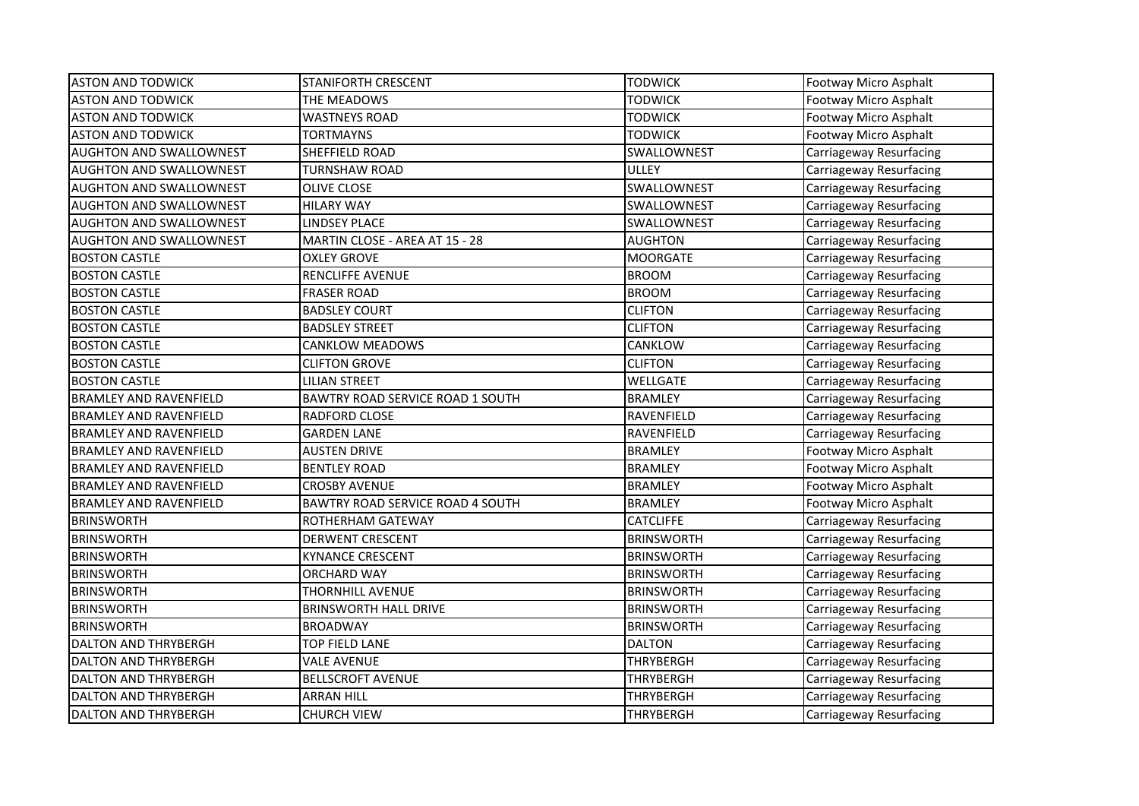| <b>ASTON AND TODWICK</b>       | <b>STANIFORTH CRESCENT</b>              | <b>TODWICK</b>    | Footway Micro Asphalt   |
|--------------------------------|-----------------------------------------|-------------------|-------------------------|
| <b>ASTON AND TODWICK</b>       | THE MEADOWS                             | <b>TODWICK</b>    | Footway Micro Asphalt   |
| <b>ASTON AND TODWICK</b>       | <b>WASTNEYS ROAD</b>                    | <b>TODWICK</b>    | Footway Micro Asphalt   |
| <b>ASTON AND TODWICK</b>       | <b>TORTMAYNS</b>                        | <b>TODWICK</b>    | Footway Micro Asphalt   |
| <b>AUGHTON AND SWALLOWNEST</b> | SHEFFIELD ROAD                          | SWALLOWNEST       | Carriageway Resurfacing |
| AUGHTON AND SWALLOWNEST        | TURNSHAW ROAD                           | <b>ULLEY</b>      | Carriageway Resurfacing |
| <b>AUGHTON AND SWALLOWNEST</b> | <b>OLIVE CLOSE</b>                      | SWALLOWNEST       | Carriageway Resurfacing |
| AUGHTON AND SWALLOWNEST        | <b>HILARY WAY</b>                       | SWALLOWNEST       | Carriageway Resurfacing |
| <b>AUGHTON AND SWALLOWNEST</b> | <b>LINDSEY PLACE</b>                    | SWALLOWNEST       | Carriageway Resurfacing |
| <b>AUGHTON AND SWALLOWNEST</b> | MARTIN CLOSE - AREA AT 15 - 28          | <b>AUGHTON</b>    | Carriageway Resurfacing |
| <b>BOSTON CASTLE</b>           | <b>OXLEY GROVE</b>                      | <b>MOORGATE</b>   | Carriageway Resurfacing |
| <b>BOSTON CASTLE</b>           | <b>RENCLIFFE AVENUE</b>                 | <b>BROOM</b>      | Carriageway Resurfacing |
| <b>BOSTON CASTLE</b>           | <b>FRASER ROAD</b>                      | <b>BROOM</b>      | Carriageway Resurfacing |
| <b>BOSTON CASTLE</b>           | <b>BADSLEY COURT</b>                    | <b>CLIFTON</b>    | Carriageway Resurfacing |
| <b>BOSTON CASTLE</b>           | <b>BADSLEY STREET</b>                   | <b>CLIFTON</b>    | Carriageway Resurfacing |
| <b>BOSTON CASTLE</b>           | <b>CANKLOW MEADOWS</b>                  | CANKLOW           | Carriageway Resurfacing |
| <b>BOSTON CASTLE</b>           | <b>CLIFTON GROVE</b>                    | <b>CLIFTON</b>    | Carriageway Resurfacing |
| <b>BOSTON CASTLE</b>           | <b>LILIAN STREET</b>                    | <b>WELLGATE</b>   | Carriageway Resurfacing |
| <b>BRAMLEY AND RAVENFIELD</b>  | BAWTRY ROAD SERVICE ROAD 1 SOUTH        | <b>BRAMLEY</b>    | Carriageway Resurfacing |
| <b>BRAMLEY AND RAVENFIELD</b>  | RADFORD CLOSE                           | RAVENFIELD        | Carriageway Resurfacing |
| <b>BRAMLEY AND RAVENFIELD</b>  | <b>GARDEN LANE</b>                      | <b>RAVENFIELD</b> | Carriageway Resurfacing |
| <b>BRAMLEY AND RAVENFIELD</b>  | <b>AUSTEN DRIVE</b>                     | <b>BRAMLEY</b>    | Footway Micro Asphalt   |
| <b>BRAMLEY AND RAVENFIELD</b>  | <b>BENTLEY ROAD</b>                     | <b>BRAMLEY</b>    | Footway Micro Asphalt   |
| <b>BRAMLEY AND RAVENFIELD</b>  | <b>CROSBY AVENUE</b>                    | <b>BRAMLEY</b>    | Footway Micro Asphalt   |
| <b>BRAMLEY AND RAVENFIELD</b>  | <b>BAWTRY ROAD SERVICE ROAD 4 SOUTH</b> | <b>BRAMLEY</b>    | Footway Micro Asphalt   |
| <b>BRINSWORTH</b>              | ROTHERHAM GATEWAY                       | <b>CATCLIFFE</b>  | Carriageway Resurfacing |
| <b>BRINSWORTH</b>              | <b>DERWENT CRESCENT</b>                 | <b>BRINSWORTH</b> | Carriageway Resurfacing |
| <b>BRINSWORTH</b>              | <b>KYNANCE CRESCENT</b>                 | <b>BRINSWORTH</b> | Carriageway Resurfacing |
| <b>BRINSWORTH</b>              | <b>ORCHARD WAY</b>                      | <b>BRINSWORTH</b> | Carriageway Resurfacing |
| <b>BRINSWORTH</b>              | <b>THORNHILL AVENUE</b>                 | <b>BRINSWORTH</b> | Carriageway Resurfacing |
| <b>BRINSWORTH</b>              | <b>BRINSWORTH HALL DRIVE</b>            | <b>BRINSWORTH</b> | Carriageway Resurfacing |
| <b>BRINSWORTH</b>              | <b>BROADWAY</b>                         | <b>BRINSWORTH</b> | Carriageway Resurfacing |
| <b>DALTON AND THRYBERGH</b>    | TOP FIELD LANE                          | <b>DALTON</b>     | Carriageway Resurfacing |
| DALTON AND THRYBERGH           | <b>VALE AVENUE</b>                      | <b>THRYBERGH</b>  | Carriageway Resurfacing |
| <b>DALTON AND THRYBERGH</b>    | <b>BELLSCROFT AVENUE</b>                | <b>THRYBERGH</b>  | Carriageway Resurfacing |
| DALTON AND THRYBERGH           | <b>ARRAN HILL</b>                       | <b>THRYBERGH</b>  | Carriageway Resurfacing |
| DALTON AND THRYBERGH           | <b>CHURCH VIEW</b>                      | <b>THRYBERGH</b>  | Carriageway Resurfacing |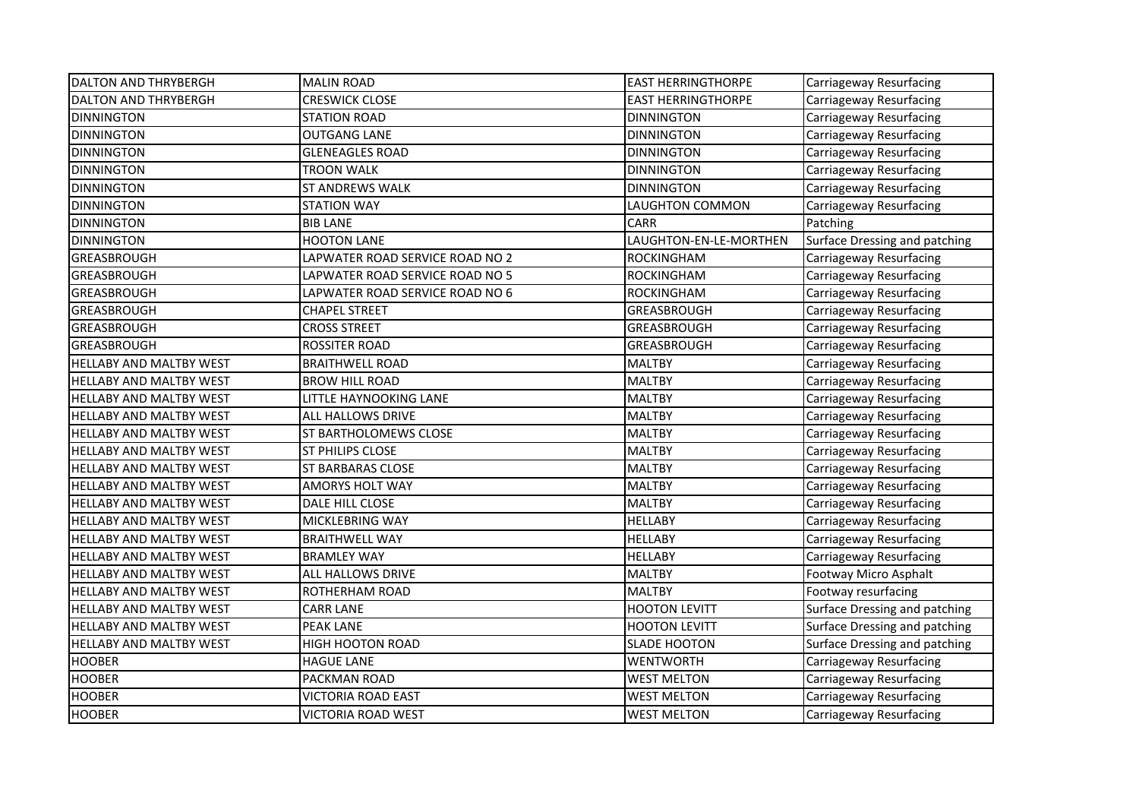| <b>DALTON AND THRYBERGH</b>    | <b>MALIN ROAD</b>               | <b>EAST HERRINGTHORPE</b> | Carriageway Resurfacing       |
|--------------------------------|---------------------------------|---------------------------|-------------------------------|
| <b>DALTON AND THRYBERGH</b>    | <b>CRESWICK CLOSE</b>           | <b>EAST HERRINGTHORPE</b> | Carriageway Resurfacing       |
| <b>DINNINGTON</b>              | <b>STATION ROAD</b>             | <b>DINNINGTON</b>         | Carriageway Resurfacing       |
| <b>DINNINGTON</b>              | <b>OUTGANG LANE</b>             | <b>DINNINGTON</b>         | Carriageway Resurfacing       |
| <b>DINNINGTON</b>              | <b>GLENEAGLES ROAD</b>          | <b>DINNINGTON</b>         | Carriageway Resurfacing       |
| <b>DINNINGTON</b>              | <b>TROON WALK</b>               | <b>DINNINGTON</b>         | Carriageway Resurfacing       |
| <b>DINNINGTON</b>              | <b>ST ANDREWS WALK</b>          | <b>DINNINGTON</b>         | Carriageway Resurfacing       |
| <b>DINNINGTON</b>              | <b>STATION WAY</b>              | LAUGHTON COMMON           | Carriageway Resurfacing       |
| <b>DINNINGTON</b>              | <b>BIB LANE</b>                 | <b>CARR</b>               | Patching                      |
| <b>DINNINGTON</b>              | <b>HOOTON LANE</b>              | LAUGHTON-EN-LE-MORTHEN    | Surface Dressing and patching |
| <b>GREASBROUGH</b>             | LAPWATER ROAD SERVICE ROAD NO 2 | <b>ROCKINGHAM</b>         | Carriageway Resurfacing       |
| GREASBROUGH                    | LAPWATER ROAD SERVICE ROAD NO 5 | <b>ROCKINGHAM</b>         | Carriageway Resurfacing       |
| GREASBROUGH                    | LAPWATER ROAD SERVICE ROAD NO 6 | <b>ROCKINGHAM</b>         | Carriageway Resurfacing       |
| GREASBROUGH                    | <b>CHAPEL STREET</b>            | GREASBROUGH               | Carriageway Resurfacing       |
| GREASBROUGH                    | <b>CROSS STREET</b>             | GREASBROUGH               | Carriageway Resurfacing       |
| GREASBROUGH                    | <b>ROSSITER ROAD</b>            | GREASBROUGH               | Carriageway Resurfacing       |
| <b>HELLABY AND MALTBY WEST</b> | <b>BRAITHWELL ROAD</b>          | <b>MALTBY</b>             | Carriageway Resurfacing       |
| <b>HELLABY AND MALTBY WEST</b> | <b>BROW HILL ROAD</b>           | <b>MALTBY</b>             | Carriageway Resurfacing       |
| <b>HELLABY AND MALTBY WEST</b> | LITTLE HAYNOOKING LANE          | <b>MALTBY</b>             | Carriageway Resurfacing       |
| HELLABY AND MALTBY WEST        | ALL HALLOWS DRIVE               | <b>MALTBY</b>             | Carriageway Resurfacing       |
| <b>HELLABY AND MALTBY WEST</b> | ST BARTHOLOMEWS CLOSE           | <b>MALTBY</b>             | Carriageway Resurfacing       |
| <b>HELLABY AND MALTBY WEST</b> | <b>ST PHILIPS CLOSE</b>         | <b>MALTBY</b>             | Carriageway Resurfacing       |
| <b>HELLABY AND MALTBY WEST</b> | <b>ST BARBARAS CLOSE</b>        | <b>MALTBY</b>             | Carriageway Resurfacing       |
| <b>HELLABY AND MALTBY WEST</b> | AMORYS HOLT WAY                 | <b>MALTBY</b>             | Carriageway Resurfacing       |
| <b>HELLABY AND MALTBY WEST</b> | DALE HILL CLOSE                 | <b>MALTBY</b>             | Carriageway Resurfacing       |
| <b>HELLABY AND MALTBY WEST</b> | <b>MICKLEBRING WAY</b>          | <b>HELLABY</b>            | Carriageway Resurfacing       |
| HELLABY AND MALTBY WEST        | <b>BRAITHWELL WAY</b>           | <b>HELLABY</b>            | Carriageway Resurfacing       |
| <b>HELLABY AND MALTBY WEST</b> | <b>BRAMLEY WAY</b>              | <b>HELLABY</b>            | Carriageway Resurfacing       |
| <b>HELLABY AND MALTBY WEST</b> | ALL HALLOWS DRIVE               | <b>MALTBY</b>             | Footway Micro Asphalt         |
| <b>HELLABY AND MALTBY WEST</b> | ROTHERHAM ROAD                  | <b>MALTBY</b>             | Footway resurfacing           |
| <b>HELLABY AND MALTBY WEST</b> | <b>CARR LANE</b>                | <b>HOOTON LEVITT</b>      | Surface Dressing and patching |
| <b>HELLABY AND MALTBY WEST</b> | PEAK LANE                       | <b>HOOTON LEVITT</b>      | Surface Dressing and patching |
| <b>HELLABY AND MALTBY WEST</b> | <b>HIGH HOOTON ROAD</b>         | <b>SLADE HOOTON</b>       | Surface Dressing and patching |
| <b>HOOBER</b>                  | <b>HAGUE LANE</b>               | <b>WENTWORTH</b>          | Carriageway Resurfacing       |
| <b>HOOBER</b>                  | PACKMAN ROAD                    | <b>WEST MELTON</b>        | Carriageway Resurfacing       |
| <b>HOOBER</b>                  | <b>VICTORIA ROAD EAST</b>       | <b>WEST MELTON</b>        | Carriageway Resurfacing       |
| <b>HOOBER</b>                  | <b>VICTORIA ROAD WEST</b>       | <b>WEST MELTON</b>        | Carriageway Resurfacing       |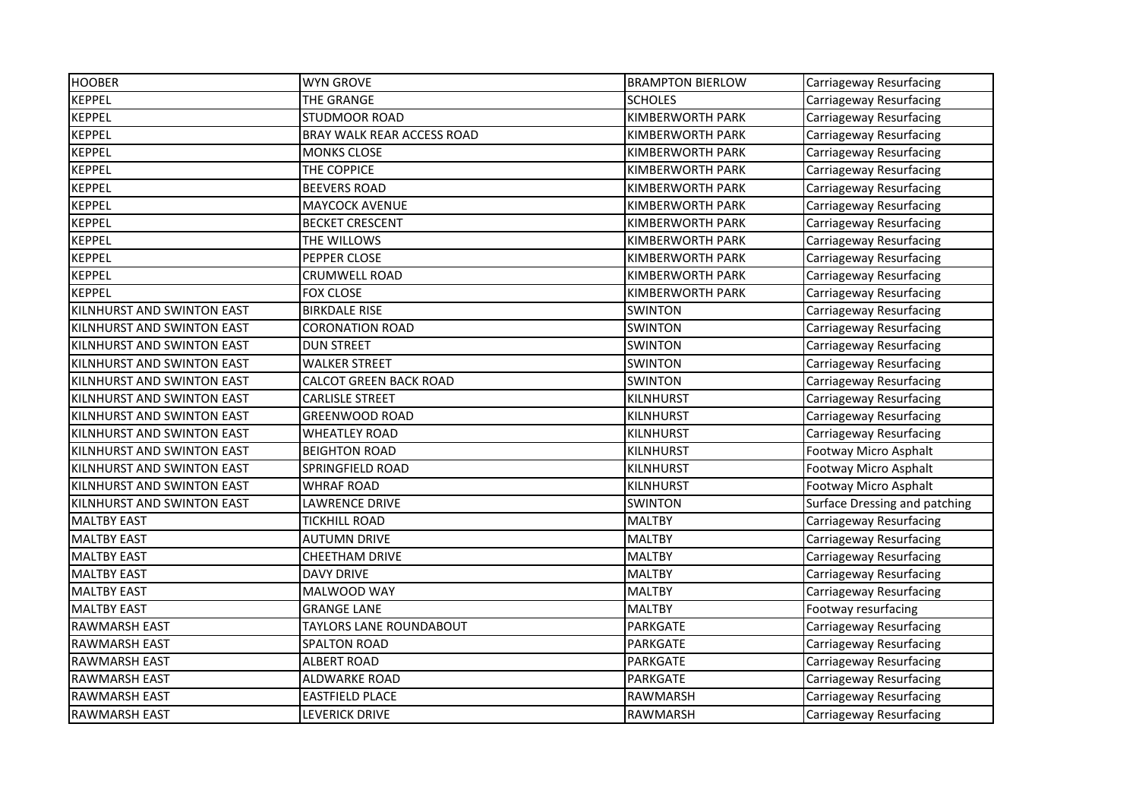| <b>HOOBER</b>              | <b>WYN GROVE</b>               | <b>BRAMPTON BIERLOW</b> | Carriageway Resurfacing       |
|----------------------------|--------------------------------|-------------------------|-------------------------------|
| <b>KEPPEL</b>              | THE GRANGE                     | <b>SCHOLES</b>          | Carriageway Resurfacing       |
| <b>KEPPEL</b>              | STUDMOOR ROAD                  | <b>KIMBERWORTH PARK</b> | Carriageway Resurfacing       |
| <b>KEPPEL</b>              | BRAY WALK REAR ACCESS ROAD     | KIMBERWORTH PARK        | Carriageway Resurfacing       |
| <b>KEPPEL</b>              | <b>MONKS CLOSE</b>             | KIMBERWORTH PARK        | Carriageway Resurfacing       |
| <b>KEPPEL</b>              | THE COPPICE                    | KIMBERWORTH PARK        | Carriageway Resurfacing       |
| <b>KEPPEL</b>              | <b>BEEVERS ROAD</b>            | KIMBERWORTH PARK        | Carriageway Resurfacing       |
| <b>KEPPEL</b>              | <b>MAYCOCK AVENUE</b>          | KIMBERWORTH PARK        | Carriageway Resurfacing       |
| <b>KEPPEL</b>              | <b>BECKET CRESCENT</b>         | KIMBERWORTH PARK        | Carriageway Resurfacing       |
| <b>KEPPEL</b>              | THE WILLOWS                    | KIMBERWORTH PARK        | Carriageway Resurfacing       |
| <b>KEPPEL</b>              | PEPPER CLOSE                   | KIMBERWORTH PARK        | Carriageway Resurfacing       |
| <b>KEPPEL</b>              | <b>CRUMWELL ROAD</b>           | KIMBERWORTH PARK        | Carriageway Resurfacing       |
| <b>KEPPEL</b>              | <b>FOX CLOSE</b>               | KIMBERWORTH PARK        | Carriageway Resurfacing       |
| KILNHURST AND SWINTON EAST | <b>BIRKDALE RISE</b>           | <b>SWINTON</b>          | Carriageway Resurfacing       |
| KILNHURST AND SWINTON EAST | <b>CORONATION ROAD</b>         | <b>SWINTON</b>          | Carriageway Resurfacing       |
| KILNHURST AND SWINTON EAST | <b>DUN STREET</b>              | <b>SWINTON</b>          | Carriageway Resurfacing       |
| KILNHURST AND SWINTON EAST | <b>WALKER STREET</b>           | <b>SWINTON</b>          | Carriageway Resurfacing       |
| KILNHURST AND SWINTON EAST | <b>CALCOT GREEN BACK ROAD</b>  | <b>SWINTON</b>          | Carriageway Resurfacing       |
| KILNHURST AND SWINTON EAST | <b>CARLISLE STREET</b>         | <b>KILNHURST</b>        | Carriageway Resurfacing       |
| KILNHURST AND SWINTON EAST | <b>GREENWOOD ROAD</b>          | <b>KILNHURST</b>        | Carriageway Resurfacing       |
| KILNHURST AND SWINTON EAST | <b>WHEATLEY ROAD</b>           | <b>KILNHURST</b>        | Carriageway Resurfacing       |
| KILNHURST AND SWINTON EAST | <b>BEIGHTON ROAD</b>           | KILNHURST               | Footway Micro Asphalt         |
| KILNHURST AND SWINTON EAST | SPRINGFIELD ROAD               | <b>KILNHURST</b>        | Footway Micro Asphalt         |
| KILNHURST AND SWINTON EAST | <b>WHRAF ROAD</b>              | <b>KILNHURST</b>        | Footway Micro Asphalt         |
| KILNHURST AND SWINTON EAST | <b>LAWRENCE DRIVE</b>          | <b>SWINTON</b>          | Surface Dressing and patching |
| <b>MALTBY EAST</b>         | <b>TICKHILL ROAD</b>           | <b>MALTBY</b>           | Carriageway Resurfacing       |
| <b>MALTBY EAST</b>         | <b>AUTUMN DRIVE</b>            | <b>MALTBY</b>           | Carriageway Resurfacing       |
| <b>MALTBY EAST</b>         | CHEETHAM DRIVE                 | <b>MALTBY</b>           | Carriageway Resurfacing       |
| <b>MALTBY EAST</b>         | <b>DAVY DRIVE</b>              | <b>MALTBY</b>           | Carriageway Resurfacing       |
| <b>MALTBY EAST</b>         | MALWOOD WAY                    | <b>MALTBY</b>           | Carriageway Resurfacing       |
| <b>MALTBY EAST</b>         | <b>GRANGE LANE</b>             | <b>MALTBY</b>           | Footway resurfacing           |
| <b>RAWMARSH EAST</b>       | <b>TAYLORS LANE ROUNDABOUT</b> | PARKGATE                | Carriageway Resurfacing       |
| <b>RAWMARSH EAST</b>       | SPALTON ROAD                   | PARKGATE                | Carriageway Resurfacing       |
| <b>RAWMARSH EAST</b>       | <b>ALBERT ROAD</b>             | PARKGATE                | Carriageway Resurfacing       |
| <b>RAWMARSH EAST</b>       | <b>ALDWARKE ROAD</b>           | PARKGATE                | Carriageway Resurfacing       |
| <b>RAWMARSH EAST</b>       | <b>EASTFIELD PLACE</b>         | RAWMARSH                | Carriageway Resurfacing       |
| <b>RAWMARSH EAST</b>       | LEVERICK DRIVE                 | RAWMARSH                | Carriageway Resurfacing       |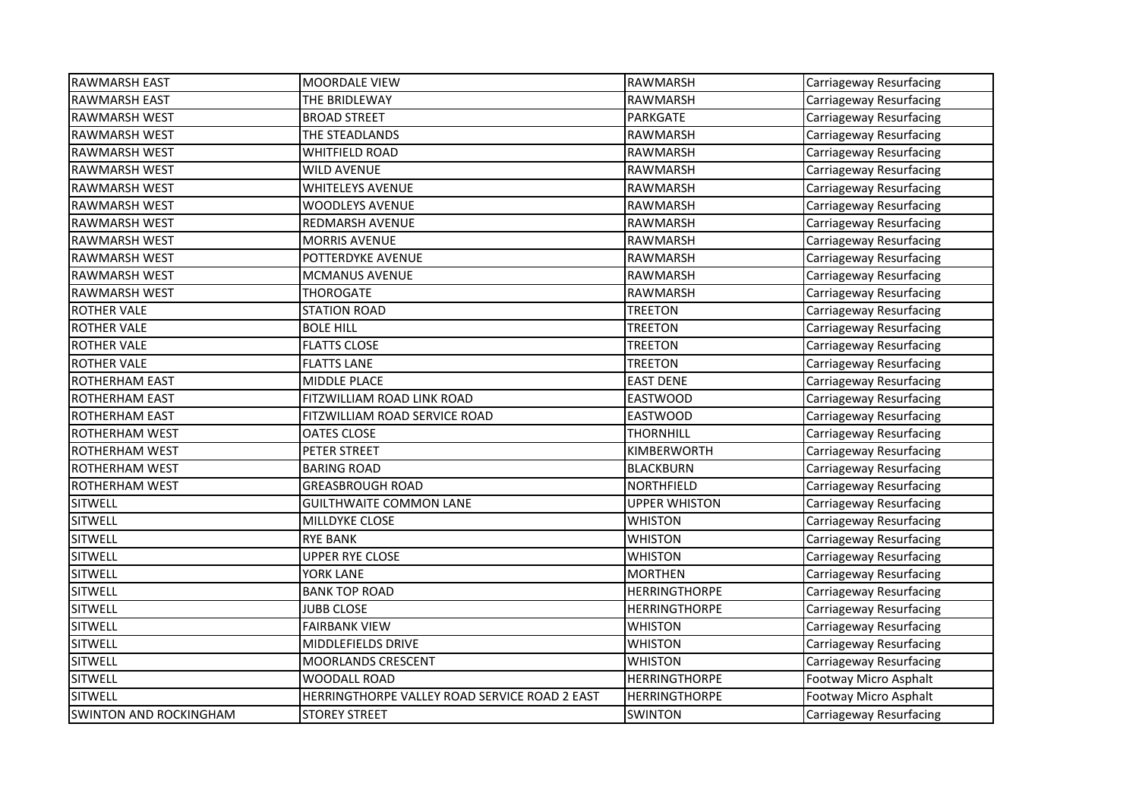| <b>RAWMARSH EAST</b>          | <b>MOORDALE VIEW</b>                          | <b>RAWMARSH</b>      | Carriageway Resurfacing |
|-------------------------------|-----------------------------------------------|----------------------|-------------------------|
| <b>RAWMARSH EAST</b>          | THE BRIDLEWAY                                 | <b>RAWMARSH</b>      | Carriageway Resurfacing |
| <b>RAWMARSH WEST</b>          | <b>BROAD STREET</b>                           | <b>PARKGATE</b>      | Carriageway Resurfacing |
| <b>RAWMARSH WEST</b>          | THE STEADLANDS                                | <b>RAWMARSH</b>      | Carriageway Resurfacing |
| <b>RAWMARSH WEST</b>          | <b>WHITFIELD ROAD</b>                         | <b>RAWMARSH</b>      | Carriageway Resurfacing |
| <b>RAWMARSH WEST</b>          | <b>WILD AVENUE</b>                            | <b>RAWMARSH</b>      | Carriageway Resurfacing |
| <b>RAWMARSH WEST</b>          | <b>WHITELEYS AVENUE</b>                       | RAWMARSH             | Carriageway Resurfacing |
| <b>RAWMARSH WEST</b>          | <b>WOODLEYS AVENUE</b>                        | <b>RAWMARSH</b>      | Carriageway Resurfacing |
| <b>RAWMARSH WEST</b>          | <b>REDMARSH AVENUE</b>                        | <b>RAWMARSH</b>      | Carriageway Resurfacing |
| <b>RAWMARSH WEST</b>          | <b>MORRIS AVENUE</b>                          | <b>RAWMARSH</b>      | Carriageway Resurfacing |
| <b>RAWMARSH WEST</b>          | POTTERDYKE AVENUE                             | <b>RAWMARSH</b>      | Carriageway Resurfacing |
| <b>RAWMARSH WEST</b>          | MCMANUS AVENUE                                | <b>RAWMARSH</b>      | Carriageway Resurfacing |
| <b>RAWMARSH WEST</b>          | <b>THOROGATE</b>                              | RAWMARSH             | Carriageway Resurfacing |
| <b>ROTHER VALE</b>            | <b>STATION ROAD</b>                           | <b>TREETON</b>       | Carriageway Resurfacing |
| <b>ROTHER VALE</b>            | <b>BOLE HILL</b>                              | <b>TREETON</b>       | Carriageway Resurfacing |
| <b>ROTHER VALE</b>            | <b>FLATTS CLOSE</b>                           | <b>TREETON</b>       | Carriageway Resurfacing |
| <b>ROTHER VALE</b>            | <b>FLATTS LANE</b>                            | <b>TREETON</b>       | Carriageway Resurfacing |
| <b>ROTHERHAM EAST</b>         | MIDDLE PLACE                                  | <b>EAST DENE</b>     | Carriageway Resurfacing |
| <b>ROTHERHAM EAST</b>         | FITZWILLIAM ROAD LINK ROAD                    | <b>EASTWOOD</b>      | Carriageway Resurfacing |
| <b>ROTHERHAM EAST</b>         | FITZWILLIAM ROAD SERVICE ROAD                 | <b>EASTWOOD</b>      | Carriageway Resurfacing |
| <b>ROTHERHAM WEST</b>         | <b>OATES CLOSE</b>                            | <b>THORNHILL</b>     | Carriageway Resurfacing |
| <b>ROTHERHAM WEST</b>         | PETER STREET                                  | KIMBERWORTH          | Carriageway Resurfacing |
| <b>ROTHERHAM WEST</b>         | <b>BARING ROAD</b>                            | <b>BLACKBURN</b>     | Carriageway Resurfacing |
| <b>ROTHERHAM WEST</b>         | <b>GREASBROUGH ROAD</b>                       | <b>NORTHFIELD</b>    | Carriageway Resurfacing |
| <b>SITWELL</b>                | <b>GUILTHWAITE COMMON LANE</b>                | <b>UPPER WHISTON</b> | Carriageway Resurfacing |
| SITWELL                       | MILLDYKE CLOSE                                | <b>WHISTON</b>       | Carriageway Resurfacing |
| <b>SITWELL</b>                | <b>RYE BANK</b>                               | <b>WHISTON</b>       | Carriageway Resurfacing |
| <b>SITWELL</b>                | <b>UPPER RYE CLOSE</b>                        | <b>WHISTON</b>       | Carriageway Resurfacing |
| SITWELL                       | YORK LANE                                     | <b>MORTHEN</b>       | Carriageway Resurfacing |
| SITWELL                       | <b>BANK TOP ROAD</b>                          | <b>HERRINGTHORPE</b> | Carriageway Resurfacing |
| <b>SITWELL</b>                | <b>JUBB CLOSE</b>                             | <b>HERRINGTHORPE</b> | Carriageway Resurfacing |
| <b>SITWELL</b>                | <b>FAIRBANK VIEW</b>                          | <b>WHISTON</b>       | Carriageway Resurfacing |
| <b>SITWELL</b>                | MIDDLEFIELDS DRIVE                            | <b>WHISTON</b>       | Carriageway Resurfacing |
| SITWELL                       | <b>MOORLANDS CRESCENT</b>                     | <b>WHISTON</b>       | Carriageway Resurfacing |
| <b>SITWELL</b>                | WOODALL ROAD                                  | <b>HERRINGTHORPE</b> | Footway Micro Asphalt   |
| <b>SITWELL</b>                | HERRINGTHORPE VALLEY ROAD SERVICE ROAD 2 EAST | <b>HERRINGTHORPE</b> | Footway Micro Asphalt   |
| <b>SWINTON AND ROCKINGHAM</b> | <b>STOREY STREET</b>                          | <b>SWINTON</b>       | Carriageway Resurfacing |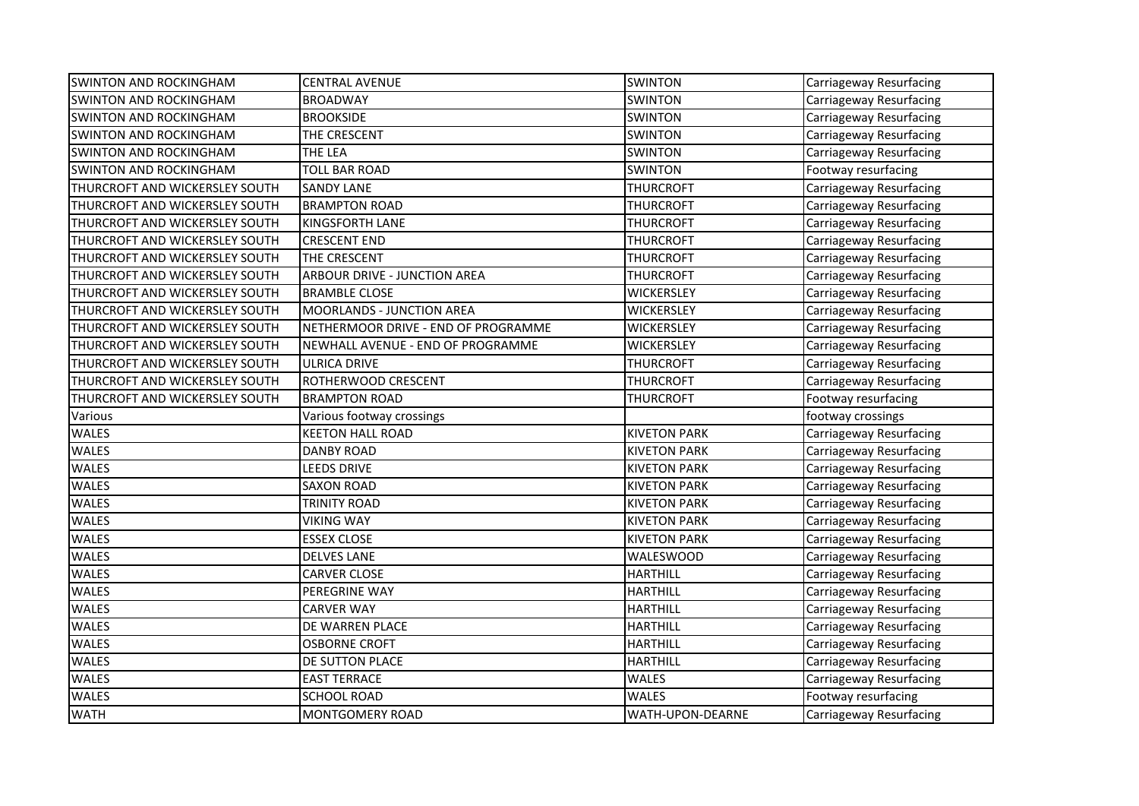| <b>SWINTON AND ROCKINGHAM</b>  | <b>CENTRAL AVENUE</b>               | <b>SWINTON</b>      | Carriageway Resurfacing |
|--------------------------------|-------------------------------------|---------------------|-------------------------|
| <b>SWINTON AND ROCKINGHAM</b>  | <b>BROADWAY</b>                     | <b>SWINTON</b>      | Carriageway Resurfacing |
| <b>SWINTON AND ROCKINGHAM</b>  | <b>BROOKSIDE</b>                    | <b>SWINTON</b>      | Carriageway Resurfacing |
| <b>SWINTON AND ROCKINGHAM</b>  | THE CRESCENT                        | <b>SWINTON</b>      | Carriageway Resurfacing |
| <b>SWINTON AND ROCKINGHAM</b>  | THE LEA                             | <b>SWINTON</b>      | Carriageway Resurfacing |
| <b>SWINTON AND ROCKINGHAM</b>  | <b>TOLL BAR ROAD</b>                | <b>SWINTON</b>      | Footway resurfacing     |
| THURCROFT AND WICKERSLEY SOUTH | <b>SANDY LANE</b>                   | <b>THURCROFT</b>    | Carriageway Resurfacing |
| THURCROFT AND WICKERSLEY SOUTH | <b>BRAMPTON ROAD</b>                | <b>THURCROFT</b>    | Carriageway Resurfacing |
| THURCROFT AND WICKERSLEY SOUTH | <b>KINGSFORTH LANE</b>              | THURCROFT           | Carriageway Resurfacing |
| THURCROFT AND WICKERSLEY SOUTH | <b>CRESCENT END</b>                 | <b>THURCROFT</b>    | Carriageway Resurfacing |
| THURCROFT AND WICKERSLEY SOUTH | THE CRESCENT                        | THURCROFT           | Carriageway Resurfacing |
| THURCROFT AND WICKERSLEY SOUTH | ARBOUR DRIVE - JUNCTION AREA        | <b>THURCROFT</b>    | Carriageway Resurfacing |
| THURCROFT AND WICKERSLEY SOUTH | <b>BRAMBLE CLOSE</b>                | <b>WICKERSLEY</b>   | Carriageway Resurfacing |
| THURCROFT AND WICKERSLEY SOUTH | <b>MOORLANDS - JUNCTION AREA</b>    | <b>WICKERSLEY</b>   | Carriageway Resurfacing |
| THURCROFT AND WICKERSLEY SOUTH | NETHERMOOR DRIVE - END OF PROGRAMME | <b>WICKERSLEY</b>   | Carriageway Resurfacing |
| THURCROFT AND WICKERSLEY SOUTH | NEWHALL AVENUE - END OF PROGRAMME   | <b>WICKERSLEY</b>   | Carriageway Resurfacing |
| THURCROFT AND WICKERSLEY SOUTH | ULRICA DRIVE                        | THURCROFT           | Carriageway Resurfacing |
| THURCROFT AND WICKERSLEY SOUTH | ROTHERWOOD CRESCENT                 | <b>THURCROFT</b>    | Carriageway Resurfacing |
| THURCROFT AND WICKERSLEY SOUTH | <b>BRAMPTON ROAD</b>                | THURCROFT           | Footway resurfacing     |
| Various                        | Various footway crossings           |                     | footway crossings       |
| <b>WALES</b>                   | <b>KEETON HALL ROAD</b>             | <b>KIVETON PARK</b> | Carriageway Resurfacing |
| WALES                          | <b>DANBY ROAD</b>                   | <b>KIVETON PARK</b> | Carriageway Resurfacing |
| <b>WALES</b>                   | <b>LEEDS DRIVE</b>                  | <b>KIVETON PARK</b> | Carriageway Resurfacing |
| WALES                          | <b>SAXON ROAD</b>                   | <b>KIVETON PARK</b> | Carriageway Resurfacing |
| <b>WALES</b>                   | <b>TRINITY ROAD</b>                 | <b>KIVETON PARK</b> | Carriageway Resurfacing |
| WALES                          | <b>VIKING WAY</b>                   | <b>KIVETON PARK</b> | Carriageway Resurfacing |
| <b>WALES</b>                   | <b>ESSEX CLOSE</b>                  | <b>KIVETON PARK</b> | Carriageway Resurfacing |
| WALES                          | <b>DELVES LANE</b>                  | WALESWOOD           | Carriageway Resurfacing |
| WALES                          | <b>CARVER CLOSE</b>                 | <b>HARTHILL</b>     | Carriageway Resurfacing |
| WALES                          | PEREGRINE WAY                       | <b>HARTHILL</b>     | Carriageway Resurfacing |
| <b>WALES</b>                   | <b>CARVER WAY</b>                   | <b>HARTHILL</b>     | Carriageway Resurfacing |
| WALES                          | DE WARREN PLACE                     | <b>HARTHILL</b>     | Carriageway Resurfacing |
| WALES                          | <b>OSBORNE CROFT</b>                | <b>HARTHILL</b>     | Carriageway Resurfacing |
| WALES                          | DE SUTTON PLACE                     | <b>HARTHILL</b>     | Carriageway Resurfacing |
| WALES                          | <b>EAST TERRACE</b>                 | WALES               | Carriageway Resurfacing |
| WALES                          | <b>SCHOOL ROAD</b>                  | <b>WALES</b>        | Footway resurfacing     |
| <b>WATH</b>                    | <b>MONTGOMERY ROAD</b>              | WATH-UPON-DEARNE    | Carriageway Resurfacing |